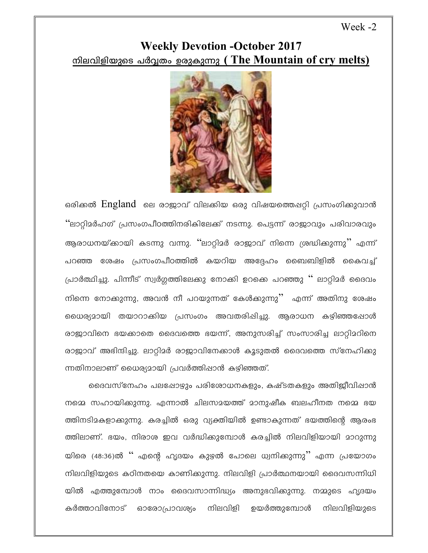## Week -2

## **Weekly Devotion -October 2017** <u>നിലവിളിയുടെ പർവ്വതം ഉരുകുന്നു (The Mountain of cry melts)</u>



ഒരിക്കൽ England ലെ രാജാവ് വിലകിയ ഒരു വിഷയത്തെപ്പറ്റി പ്രസംഗിക്കുവാൻ ''ലാറ്റിമർഹഗ് പ്രസംഗപീഠത്തിനരികിലേക്ക് നടന്നു. പെട്ടന്ന് രാജാവും പരിവാരവും ആരാധനയ്ക്കായി കടന്നു വന്നു. ''ലാറ്റിമർ രാജാവ് നിന്നെ ശ്രദ്ധിക്കുന്നു'' എന്ന് പറഞ്ഞ ശേഷം പ്രസംഗപീഠത്തിൽ കയറിയ അദ്ദേഹം ബൈബിളിൽ കൈവച്ച് പ്രാർത്ഥിച്ചു. പിന്നീട് സ്വർഗ്ഗത്തിലേക്കു നോക്കി ഉറക്കെ പറഞ്ഞു '' ലാറ്റിമർ ദൈവം നിന്നെ നോക്കുന്നു, അവൻ നീ പറയുന്നത് കേൾക്കുന്നു'' എന്ന് അതിനു ശേഷം ധൈര്യമായി തയാറാക്കിയ പ്രസംഗം അവതരിപ്പിച്ചു. ആരാധന കഴിഞ്ഞപ്പോൾ രാജാവിനെ ഭയക്കാതെ ദൈവത്തെ ഭയന്ന്, അനുസരിച്ച് സംസാരിച്ച ലാറ്റിമറിനെ രാജാവ് അഭിന്ദിച്ചു. ലാറ്റിമർ രാജാവിനേക്കാൾ കൂടുതൽ ദൈവത്തെ സ്നേഹിക്കു ന്നതിനാലാണ് ധൈര്യമായി പ്രവർത്തിഷാൻ കഴിഞ്ഞത്.

ദൈവസ്നേഹം പലപ്പോഴും പരിശോധനകളും, കഷ്ടതകളും അതിജീവിഷാൻ നമ്മെ സഹായിക്കുന്നു. എന്നാൽ ചിലസമയത്ത് മാനുഷീക ബലഹീനത നമ്മെ ഭയ ത്തിനടിമകളാക്കുന്നു. കരച്ചിൽ ഒരു വ്യക്തിയിൽ ഉണ്ടാകുന്നത് ഭയത്തിന്റെ ആരംഭ ത്തിലാണ്. ഭയം, നിരാശ ഇവ വർദ്ധിക്കുമ്പോൾ കരച്ചിൽ നിലവിളിയായി മാറുന്നു യിരെ (48:36)ൽ '' എന്റെ ഹൃദയം കുഴൽ പോലെ ധ്വനിക്കുന്നു'' എന്ന പ്രയോഗം നിലവിളിയുടെ കഠിനതയെ കാണിക്കുന്നു. നിലവിളി പ്രാർത്ഥനയായി ദൈവസന്നിധി യിൽ എത്തുമ്പോൾ നാം ദൈവസാന്നിദ്ധ്യം അനുഭവിക്കുന്നു. നമ്മുടെ ഹൃദയം കർത്താവിനോട് ഓരോപ്രാവര്യം നിലവിളി ഉയർത്തുമ്പോൾ നിലവിളിയുടെ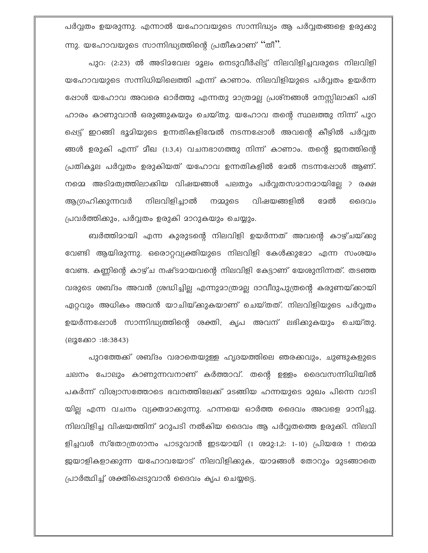പർവ്വതം ഉയരുന്നു. എന്നാൽ യഹോവയുടെ സാന്നിദ്ധ്യം ആ പർവ്വതങ്ങളെ ഉരുക്കു ന്നു. യഹോവയുടെ സാന്നിദ്ധ്യത്തിന്റെ പ്രതീകമാണ് ''തീ''.

പുറ: (2:23) ൽ അടിമവേല മൂലം നെടുവീർഷിട്ട് നിലവിളിച്ചവരുടെ നിലവിളി യഹോവയുടെ സന്നിധിയിലെത്തി എന്ന് കാണാം. നിലവിളിയുടെ പർവ്വതം ഉയർന്ന ഷോൾ യഹോവ അവരെ ഓർത്തു എന്നതു മാത്രമല്ല പ്രശ്നങ്ങൾ മനസ്സിലാക്കി പരി ഹാരം കാണുവാൻ ഒരുങ്ങുകയും ചെയ്തു. യഹോവ തന്റെ സ്ഥലത്തു നിന്ന് പുറ പ്പെട്ട് ഇറങ്ങി ഭൂമിയുടെ ഉന്നതികളിന്മേൽ നടന്നപ്പോൾ അവന്റെ കീഴിൽ പർവ്വത ങ്ങൾ ഉരുകി എന്ന് മീഖ (1:3,4) വചനഭാഗത്തു നിന്ന് കാണാം. തന്റെ ജനത്തിന്റെ പ്രതികൂല പർവ്വതം ഉരുകിയത് യഹോവ ഉന്നതികളിൽ മേൽ നടന്നപ്പോൾ ആണ്. നമ്മെ അടിമത്വത്തിലാക്കിയ വിഷയങ്ങൾ പലതും പർവ്വതസമാനമായില്ലേ ? രക്ഷ ആഗ്രഹിക്കുന്നവർ നിലവിളിച്ചാൽ ദേൽ നമ്മുടെ വിഷയങ്ങളിൽ ൈവം പ്രവർത്തിക്കും, പർവ്വതം ഉരുകി മാറുകയും ചെയ്യും.

ബർത്തിമായി എന്ന കുരുടന്റെ നിലവിളി ഉയർന്നത് അവന്റെ കാഴ്ചയ്ക്കു വേണ്ടി ആയിരുന്നു. ഒരൊറ്റവ്യക്തിയുടെ നിലവിളി കേൾക്കുമോ എന്ന സംശയം വേണ്ട. കണ്ണിന്റെ കാഴ്ച നഷ്ടമായവന്റെ നിലവിളി കേട്ടാണ് യേശുനിന്നത്. തടഞ്ഞ വരുടെ ശബ്ദം അവൻ ശ്രദ്ധിച്ചില്ല എന്നുമാത്രമല്ല ദാവീദുപുത്രന്റെ കരുണയ്ക്കായി ഏറ്റവും അധികം അവൻ യാചിയ്ക്കുകയാണ് ചെയ്തത്. നിലവിളിയുടെ പർവ്വതം ഉയർന്നപ്പോൾ സാന്നിദ്ധ്യത്തിന്റെ ശക്തി, കൃപ അവന് ലഭിക്കുകയും ചെയ്തു. (ലൂക്കോ :18:3843)

പുറത്തേക്ക് ശബ്ദം വരാതെയുള്ള ഹൃദയത്തിലെ ഞരക്കവും, ചുണ്ടുകളുടെ ചലനം പോലും കാണുന്നവനാണ് കർത്താവ്. തന്റെ ഉള്ളം ദൈവസന്നിധിയിൽ പകർന്ന് വിശ്വാസത്തോടെ ഭവനത്തിലേക്ക് മടങ്ങിയ ഹന്നയുടെ മുഖം പിന്നെ വാടി യില്ല എന്ന വചനം വ്യക്തമാക്കുന്നു. ഹന്നയെ ഓർത്ത ദൈവം അവളെ മാനിച്ചു. നിലവിളിച്ച വിഷയത്തിന് മറുപടി നൽകിയ ദൈവം ആ പർവ്വതത്തെ ഉരുക്കി. നിലവി ളിച്ചവൾ സ്തോത്രഗാനം പാടുവാൻ ഇടയായി (1 ശമു:1,2: 1-10) പ്രിയരേ ! നമ്മെ ജയാളികളാക്കുന്ന യഹോവയോട് നിലവിളിക്കുക, യാമങ്ങൾ തോറും മുടങ്ങാതെ പ്രാർത്ഥിച്ച് ശക്തിപ്പെടുവാൻ ദൈവം കൃപ ചെയ്യട്ടെ.